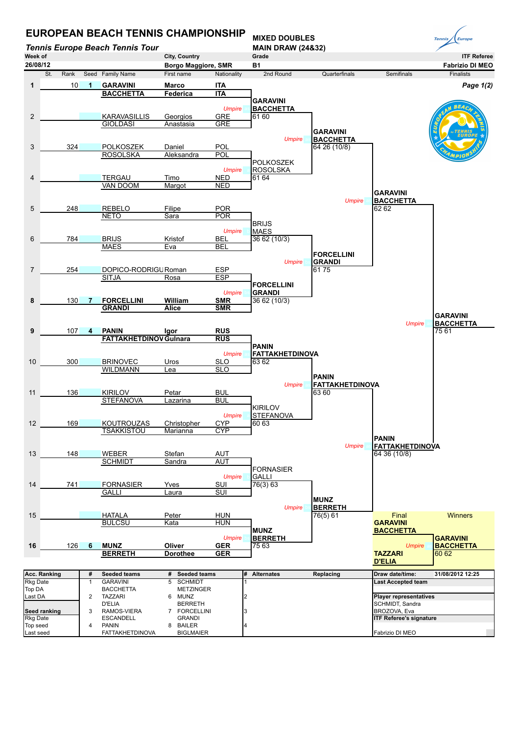